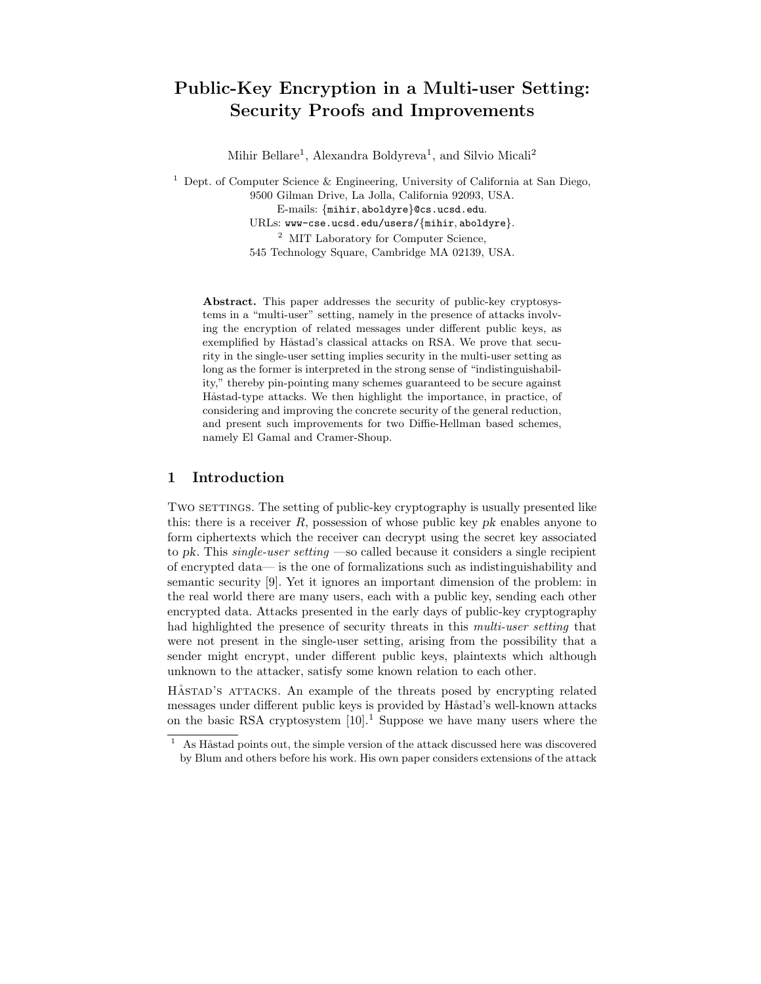# Public-Key Encryption in a Multi-user Setting: Security Proofs and Improvements

Mihir Bellare<sup>1</sup>, Alexandra Boldyreva<sup>1</sup>, and Silvio Micali<sup>2</sup>

<sup>1</sup> Dept. of Computer Science & Engineering, University of California at San Diego, 9500 Gilman Drive, La Jolla, California 92093, USA. E-mails: {mihir, aboldyre}@cs.ucsd.edu. URLs: www-cse.ucsd.edu/users/{mihir, aboldyre}. <sup>2</sup> MIT Laboratory for Computer Science, 545 Technology Square, Cambridge MA 02139, USA.

Abstract. This paper addresses the security of public-key cryptosystems in a "multi-user" setting, namely in the presence of attacks involving the encryption of related messages under different public keys, as exemplified by Håstad's classical attacks on RSA. We prove that security in the single-user setting implies security in the multi-user setting as long as the former is interpreted in the strong sense of "indistinguishability," thereby pin-pointing many schemes guaranteed to be secure against Håstad-type attacks. We then highlight the importance, in practice, of considering and improving the concrete security of the general reduction, and present such improvements for two Diffie-Hellman based schemes, namely El Gamal and Cramer-Shoup.

### 1 Introduction

Two settless The setting of public-key cryptography is usually presented like this: there is a receiver  $R$ , possession of whose public key pk enables anyone to form ciphertexts which the receiver can decrypt using the secret key associated to pk. This single-user setting —so called because it considers a single recipient of encrypted data— is the one of formalizations such as indistinguishability and semantic security [9]. Yet it ignores an important dimension of the problem: in the real world there are many users, each with a public key, sending each other encrypted data. Attacks presented in the early days of public-key cryptography had highlighted the presence of security threats in this *multi-user setting* that were not present in the single-user setting, arising from the possibility that a sender might encrypt, under different public keys, plaintexts which although unknown to the attacker, satisfy some known relation to each other.

HÅSTAD'S ATTACKS. An example of the threats posed by encrypting related messages under different public keys is provided by Håstad's well-known attacks on the basic RSA cryptosystem  $[10]$ <sup>1</sup>. Suppose we have many users where the

As Håstad points out, the simple version of the attack discussed here was discovered by Blum and others before his work. His own paper considers extensions of the attack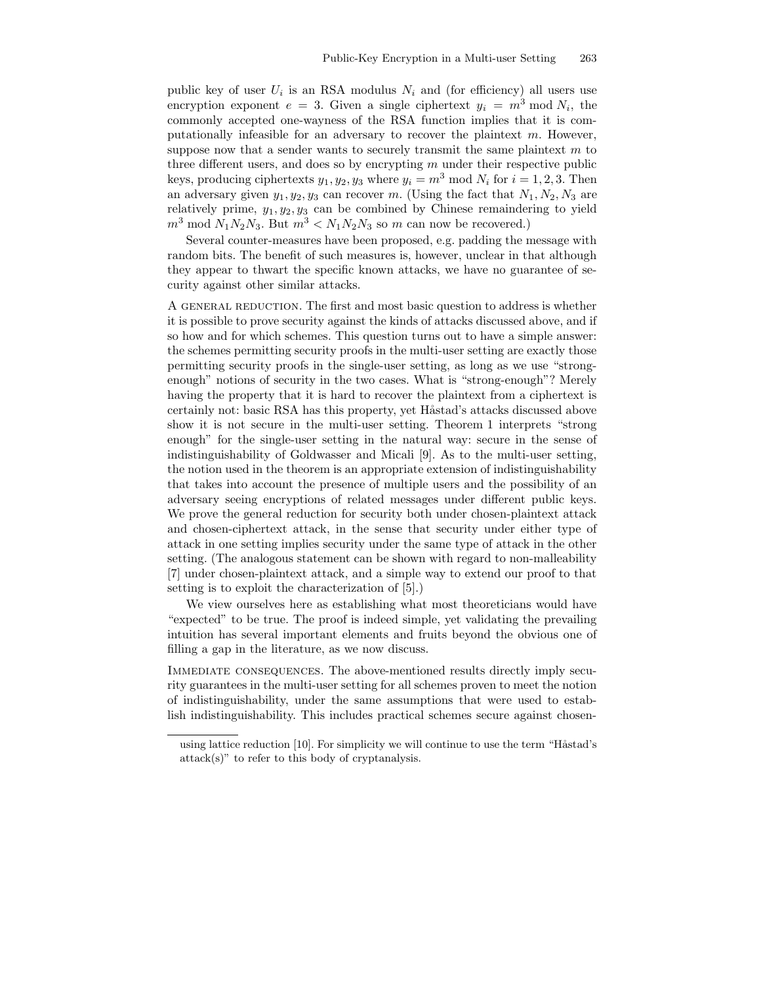public key of user  $U_i$  is an RSA modulus  $N_i$  and (for efficiency) all users use encryption exponent  $e = 3$ . Given a single ciphertext  $y_i = m^3 \mod N_i$ , the commonly accepted one-wayness of the RSA function implies that it is computationally infeasible for an adversary to recover the plaintext  $m$ . However, suppose now that a sender wants to securely transmit the same plaintext  $m$  to three different users, and does so by encrypting  $m$  under their respective public keys, producing ciphertexts  $y_1, y_2, y_3$  where  $y_i = m^3 \text{ mod } N_i$  for  $i = 1, 2, 3$ . Then an adversary given  $y_1, y_2, y_3$  can recover m. (Using the fact that  $N_1, N_2, N_3$  are relatively prime,  $y_1, y_2, y_3$  can be combined by Chinese remaindering to yield  $m^3$  mod  $N_1N_2N_3$ . But  $m^3 < N_1N_2N_3$  so m can now be recovered.)

Several counter-measures have been proposed, e.g. padding the message with random bits. The benefit of such measures is, however, unclear in that although they appear to thwart the specific known attacks, we have no guarantee of security against other similar attacks.

A GENERAL REDUCTION. The first and most basic question to address is whether it is possible to prove security against the kinds of attacks discussed above, and if so how and for which schemes. This question turns out to have a simple answer: the schemes permitting security proofs in the multi-user setting are exactly those permitting security proofs in the single-user setting, as long as we use "strongenough" notions of security in the two cases. What is "strong-enough"? Merely having the property that it is hard to recover the plaintext from a ciphertext is certainly not: basic RSA has this property, yet Håstad's attacks discussed above show it is not secure in the multi-user setting. Theorem 1 interprets "strong enough" for the single-user setting in the natural way: secure in the sense of indistinguishability of Goldwasser and Micali [9]. As to the multi-user setting, the notion used in the theorem is an appropriate extension of indistinguishability that takes into account the presence of multiple users and the possibility of an adversary seeing encryptions of related messages under different public keys. We prove the general reduction for security both under chosen-plaintext attack and chosen-ciphertext attack, in the sense that security under either type of attack in one setting implies security under the same type of attack in the other setting. (The analogous statement can be shown with regard to non-malleability [7] under chosen-plaintext attack, and a simple way to extend our proof to that setting is to exploit the characterization of [5].)

We view ourselves here as establishing what most theoreticians would have "expected" to be true. The proof is indeed simple, yet validating the prevailing intuition has several important elements and fruits beyond the obvious one of filling a gap in the literature, as we now discuss.

Immediate consequences. The above-mentioned results directly imply security guarantees in the multi-user setting for all schemes proven to meet the notion of indistinguishability, under the same assumptions that were used to establish indistinguishability. This includes practical schemes secure against chosen-

using lattice reduction [10]. For simplicity we will continue to use the term "Håstad's  $attack(s)"$  to refer to this body of cryptanalysis.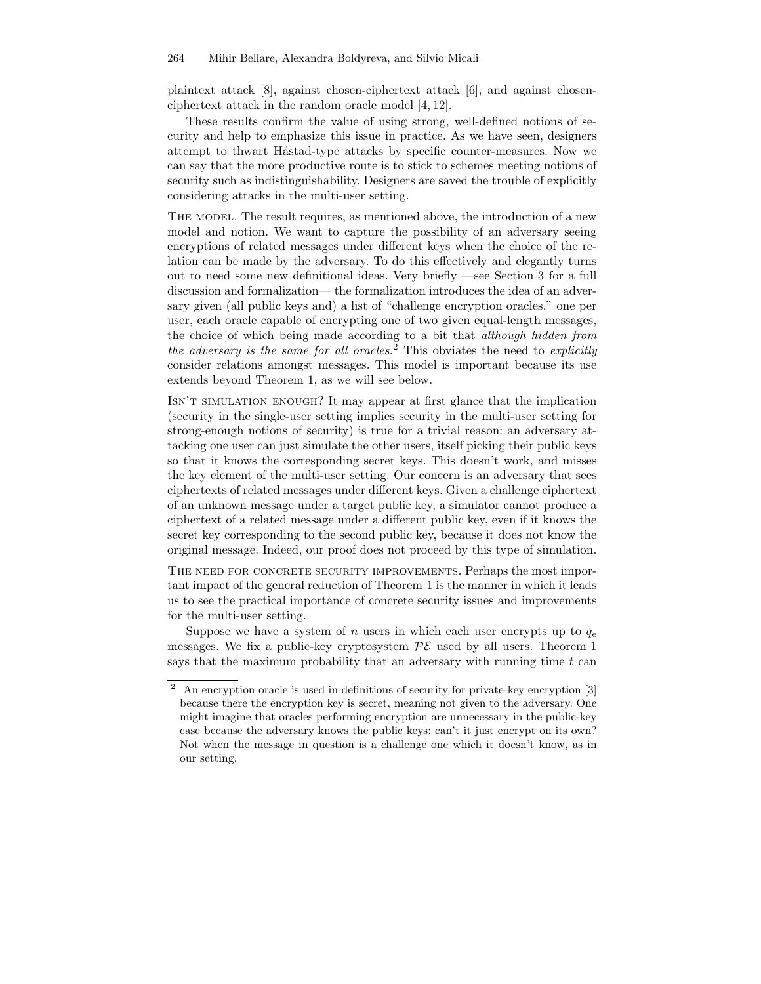plaintext attack [8], against chosen-ciphertext attack [6], and against chosenciphertext attack in the random oracle model [4, 12].

These results confirm the value of using strong, well-defined notions of security and help to emphasize this issue in practice. As we have seen, designers attempt to thwart Håstad-type attacks by specific counter-measures. Now we can say that the more productive route is to stick to schemes meeting notions of security such as indistinguishability. Designers are saved the trouble of explicitly considering attacks in the multi-user setting.

The model. The result requires, as mentioned above, the introduction of a new model and notion. We want to capture the possibility of an adversary seeing encryptions of related messages under different keys when the choice of the relation can be made by the adversary. To do this effectively and elegantly turns out to need some new definitional ideas. Very briefly —see Section 3 for a full discussion and formalization— the formalization introduces the idea of an adversary given (all public keys and) a list of "challenge encryption oracles," one per user, each oracle capable of encrypting one of two given equal-length messages, the choice of which being made according to a bit that although hidden from the adversary is the same for all oracles.<sup>2</sup> This obviates the need to explicitly consider relations amongst messages. This model is important because its use extends beyond Theorem 1, as we will see below.

Isn't simulation enough? It may appear at first glance that the implication (security in the single-user setting implies security in the multi-user setting for strong-enough notions of security) is true for a trivial reason: an adversary attacking one user can just simulate the other users, itself picking their public keys so that it knows the corresponding secret keys. This doesn't work, and misses the key element of the multi-user setting. Our concern is an adversary that sees ciphertexts of related messages under different keys. Given a challenge ciphertext of an unknown message under a target public key, a simulator cannot produce a ciphertext of a related message under a different public key, even if it knows the secret key corresponding to the second public key, because it does not know the original message. Indeed, our proof does not proceed by this type of simulation.

THE NEED FOR CONCRETE SECURITY IMPROVEMENTS. Perhaps the most important impact of the general reduction of Theorem 1 is the manner in which it leads us to see the practical importance of concrete security issues and improvements for the multi-user setting.

Suppose we have a system of n users in which each user encrypts up to  $q_e$ messages. We fix a public-key cryptosystem  $\mathcal{PE}$  used by all users. Theorem 1 says that the maximum probability that an adversary with running time  $t$  can

<sup>2</sup> An encryption oracle is used in definitions of security for private-key encryption [3] because there the encryption key is secret, meaning not given to the adversary. One might imagine that oracles performing encryption are unnecessary in the public-key case because the adversary knows the public keys: can't it just encrypt on its own? Not when the message in question is a challenge one which it doesn't know, as in our setting.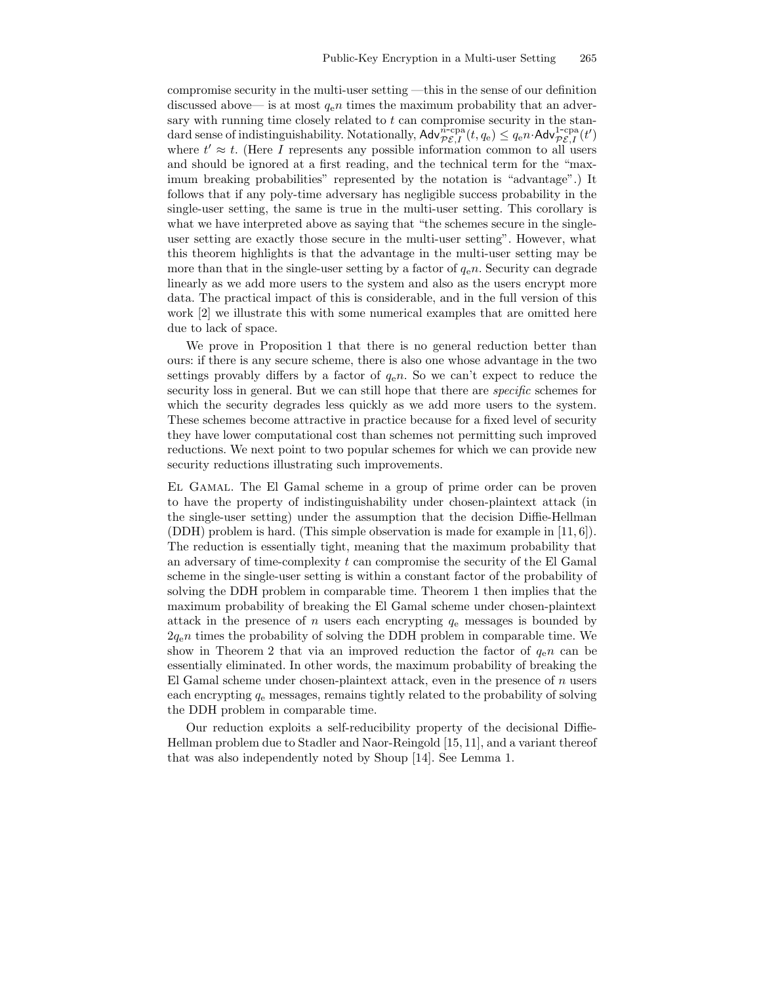compromise security in the multi-user setting —this in the sense of our definition discussed above— is at most  $q_{e}n$  times the maximum probability that an adversary with running time closely related to  $t$  can compromise security in the standard sense of indistinguishability. Notationally,  $\mathsf{Adv}_{\mathcal{PE},I}^{n-cpa}(t,q_e) \leq q_e n \cdot \mathsf{Adv}_{\mathcal{PE},I}^{1-cpa}(t')$ where  $t' \approx t$ . (Here I represents any possible information common to all users and should be ignored at a first reading, and the technical term for the "maximum breaking probabilities" represented by the notation is "advantage".) It follows that if any poly-time adversary has negligible success probability in the single-user setting, the same is true in the multi-user setting. This corollary is what we have interpreted above as saying that "the schemes secure in the singleuser setting are exactly those secure in the multi-user setting". However, what this theorem highlights is that the advantage in the multi-user setting may be more than that in the single-user setting by a factor of  $q_{e}n$ . Security can degrade linearly as we add more users to the system and also as the users encrypt more data. The practical impact of this is considerable, and in the full version of this work [2] we illustrate this with some numerical examples that are omitted here due to lack of space.

We prove in Proposition 1 that there is no general reduction better than ours: if there is any secure scheme, there is also one whose advantage in the two settings provably differs by a factor of  $q_{e}n$ . So we can't expect to reduce the security loss in general. But we can still hope that there are specific schemes for which the security degrades less quickly as we add more users to the system. These schemes become attractive in practice because for a fixed level of security they have lower computational cost than schemes not permitting such improved reductions. We next point to two popular schemes for which we can provide new security reductions illustrating such improvements.

El Gamal. The El Gamal scheme in a group of prime order can be proven to have the property of indistinguishability under chosen-plaintext attack (in the single-user setting) under the assumption that the decision Diffie-Hellman (DDH) problem is hard. (This simple observation is made for example in [11, 6]). The reduction is essentially tight, meaning that the maximum probability that an adversary of time-complexity  $t$  can compromise the security of the El Gamal scheme in the single-user setting is within a constant factor of the probability of solving the DDH problem in comparable time. Theorem 1 then implies that the maximum probability of breaking the El Gamal scheme under chosen-plaintext attack in the presence of n users each encrypting  $q_e$  messages is bounded by  $2q_{e}n$  times the probability of solving the DDH problem in comparable time. We show in Theorem 2 that via an improved reduction the factor of  $q_{e}n$  can be essentially eliminated. In other words, the maximum probability of breaking the El Gamal scheme under chosen-plaintext attack, even in the presence of n users each encrypting  $q_e$  messages, remains tightly related to the probability of solving the DDH problem in comparable time.

Our reduction exploits a self-reducibility property of the decisional Diffie-Hellman problem due to Stadler and Naor-Reingold [15, 11], and a variant thereof that was also independently noted by Shoup [14]. See Lemma 1.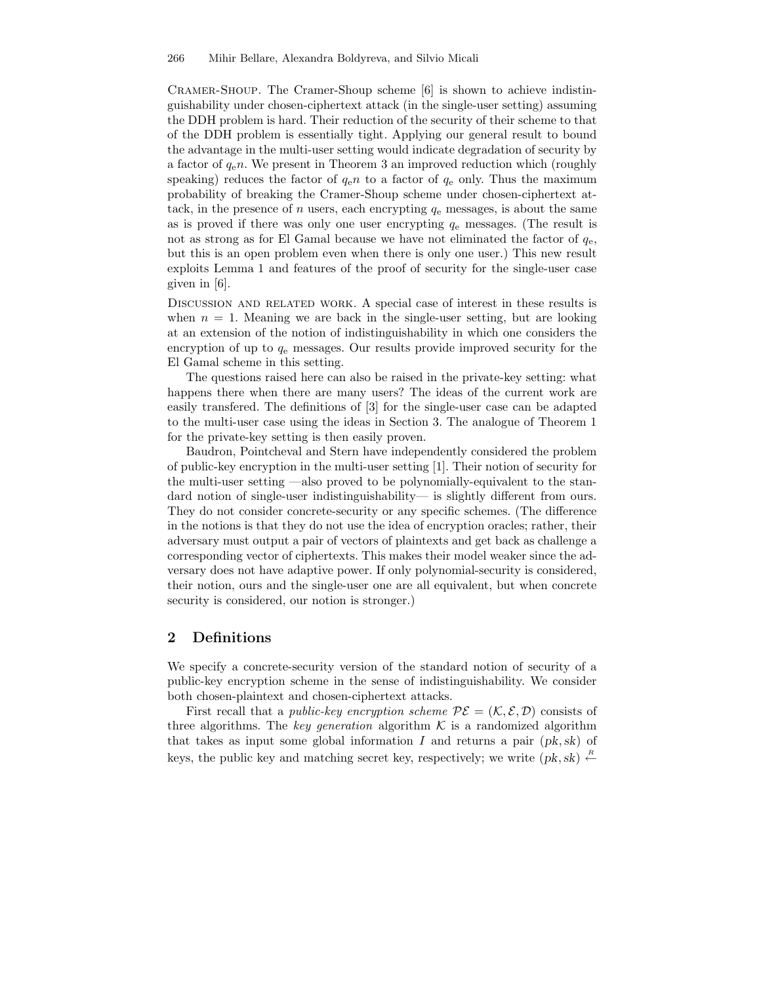Cramer-Shoup. The Cramer-Shoup scheme [6] is shown to achieve indistinguishability under chosen-ciphertext attack (in the single-user setting) assuming the DDH problem is hard. Their reduction of the security of their scheme to that of the DDH problem is essentially tight. Applying our general result to bound the advantage in the multi-user setting would indicate degradation of security by a factor of  $q_{e}n$ . We present in Theorem 3 an improved reduction which (roughly speaking) reduces the factor of  $q_{e}n$  to a factor of  $q_{e}$  only. Thus the maximum probability of breaking the Cramer-Shoup scheme under chosen-ciphertext attack, in the presence of n users, each encrypting  $q_e$  messages, is about the same as is proved if there was only one user encrypting  $q_e$  messages. (The result is not as strong as for El Gamal because we have not eliminated the factor of  $q_{e}$ , but this is an open problem even when there is only one user.) This new result exploits Lemma 1 and features of the proof of security for the single-user case given in [6].

DISCUSSION AND RELATED WORK. A special case of interest in these results is when  $n = 1$ . Meaning we are back in the single-user setting, but are looking at an extension of the notion of indistinguishability in which one considers the encryption of up to  $q_e$  messages. Our results provide improved security for the El Gamal scheme in this setting.

The questions raised here can also be raised in the private-key setting: what happens there when there are many users? The ideas of the current work are easily transfered. The definitions of [3] for the single-user case can be adapted to the multi-user case using the ideas in Section 3. The analogue of Theorem 1 for the private-key setting is then easily proven.

Baudron, Pointcheval and Stern have independently considered the problem of public-key encryption in the multi-user setting [1]. Their notion of security for the multi-user setting —also proved to be polynomially-equivalent to the standard notion of single-user indistinguishability— is slightly different from ours. They do not consider concrete-security or any specific schemes. (The difference in the notions is that they do not use the idea of encryption oracles; rather, their adversary must output a pair of vectors of plaintexts and get back as challenge a corresponding vector of ciphertexts. This makes their model weaker since the adversary does not have adaptive power. If only polynomial-security is considered, their notion, ours and the single-user one are all equivalent, but when concrete security is considered, our notion is stronger.)

## 2 Definitions

We specify a concrete-security version of the standard notion of security of a public-key encryption scheme in the sense of indistinguishability. We consider both chosen-plaintext and chosen-ciphertext attacks.

First recall that a *public-key encryption scheme*  $\mathcal{PE} = (\mathcal{K}, \mathcal{E}, \mathcal{D})$  consists of three algorithms. The key generation algorithm  $K$  is a randomized algorithm that takes as input some global information I and returns a pair  $(pk, sk)$  of keys, the public key and matching secret key, respectively; we write  $(pk, sk) \stackrel{R}{\leftarrow}$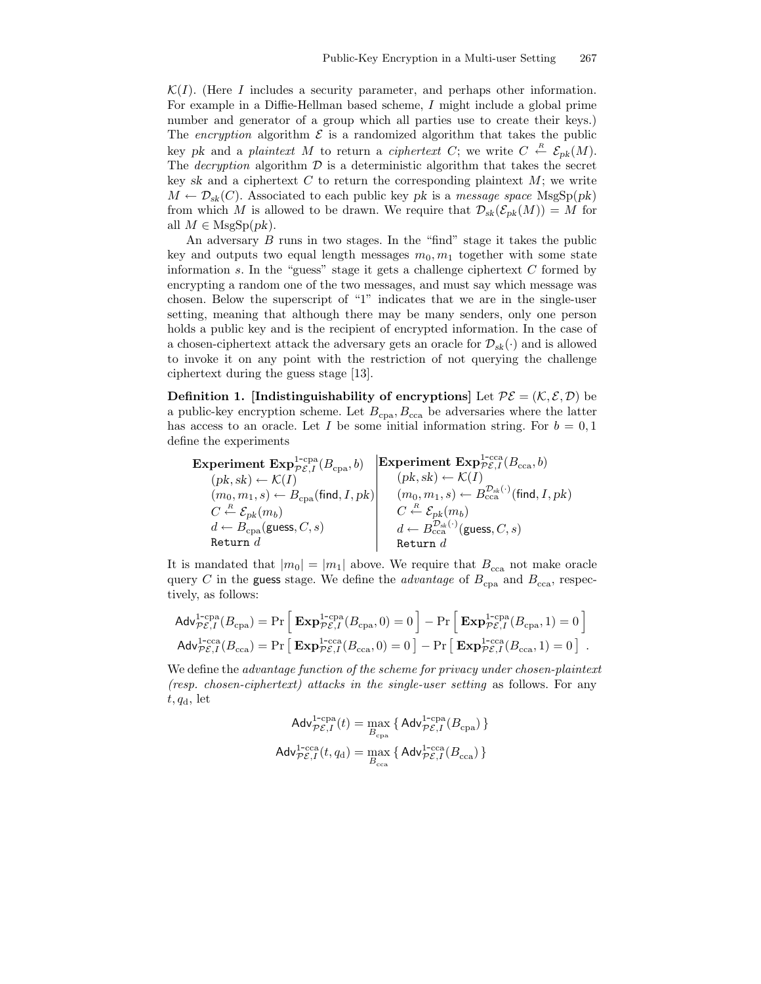$\mathcal{K}(I)$ . (Here I includes a security parameter, and perhaps other information. For example in a Diffie-Hellman based scheme, I might include a global prime number and generator of a group which all parties use to create their keys.) The encryption algorithm  $\mathcal E$  is a randomized algorithm that takes the public key pk and a plaintext M to return a ciphertext C; we write  $C \stackrel{R}{\leftarrow} \mathcal{E}_{pk}(M)$ . The *decryption* algorithm  $D$  is a deterministic algorithm that takes the secret key sk and a ciphertext  $C$  to return the corresponding plaintext  $M$ ; we write  $M \leftarrow \mathcal{D}_{sk}(C)$ . Associated to each public key pk is a message space MsgSp(pk) from which M is allowed to be drawn. We require that  $\mathcal{D}_{sk}(\mathcal{E}_{pk}(M)) = M$  for all  $M \in \text{MsgSp}(pk)$ .

An adversary B runs in two stages. In the "find" stage it takes the public key and outputs two equal length messages  $m_0, m_1$  together with some state information  $s$ . In the "guess" stage it gets a challenge ciphertext  $C$  formed by encrypting a random one of the two messages, and must say which message was chosen. Below the superscript of "1" indicates that we are in the single-user setting, meaning that although there may be many senders, only one person holds a public key and is the recipient of encrypted information. In the case of a chosen-ciphertext attack the adversary gets an oracle for  $\mathcal{D}_{sk}(\cdot)$  and is allowed to invoke it on any point with the restriction of not querying the challenge ciphertext during the guess stage [13].

**Definition 1.** [Indistinguishability of encryptions] Let  $\mathcal{PE} = (\mathcal{K}, \mathcal{E}, \mathcal{D})$  be a public-key encryption scheme. Let  $B_{\text{cpa}}$ ,  $B_{\text{cca}}$  be adversaries where the latter has access to an oracle. Let I be some initial information string. For  $b = 0, 1$ define the experiments

Experiment  $\mathrm{Exp}_{\mathcal{PE},I}^{\mathrm{1-cpa}}(B_{\mathrm{cpa}},b)$  $(pk, sk) \leftarrow \mathcal{K}(I)$  $(m_0, m_1, s) \leftarrow B_{\text{cpa}}(\text{find}, I, pk)$  $C\stackrel{R}{\leftarrow}\mathcal{E}_{pk}(m_b)$  $d \leftarrow B_{\mathrm{cpa}}(\mathsf{guess}, C, s)$  ${\tt Return}$   $d$ Experiment  $\mathrm{Exp}_{\mathcal{PE},I}^{1\textrm{-}\mathrm{cca}}(B_{\mathrm{cca}},b)$  $(pk, sk) \leftarrow \mathcal{K}(I)$  $(m_0, m_1, s) \leftarrow B_{\text{cca}}^{\mathcal{D}_{\text{sk}}(\cdot)}(\text{find}, I, pk)$  $C\stackrel{R}{\leftarrow}\mathcal{E}_{pk}(m_b)$  $d \leftarrow B_{\text{cca}}^{\mathcal{D}_{\text{sk}}(\cdot)}(\text{guess}, C, s)$  ${\tt Return}$   $d$ 

It is mandated that  $|m_0| = |m_1|$  above. We require that  $B_{\text{cca}}$  not make oracle query C in the guess stage. We define the *advantage* of  $B_{\text{cpa}}$  and  $B_{\text{cca}}$ , respectively, as follows:

$$
\begin{aligned} &\mathsf{Adv}_{\mathcal{PE},I}^{1-\mathrm{cpa}}(B_{\mathrm{cpa}})=\Pr\Big[\mathop{\mathbf{Exp}}\nolimits_{\mathcal{PE},I}^{1-\mathrm{cpa}}(B_{\mathrm{cpa}},0)=0\Big]-\Pr\Big[\mathop{\mathbf{Exp}}\nolimits_{\mathcal{PE},I}^{1-\mathrm{cpa}}(B_{\mathrm{cpa}},1)=0\Big] \\ &\mathsf{Adv}_{\mathcal{PE},I}^{1-\mathrm{cca}}(B_{\mathrm{cca}})=\Pr\big[\mathop{\mathbf{Exp}}\nolimits_{\mathcal{PE},I}^{1-\mathrm{cca}}(B_{\mathrm{cca}},0)=0\big]-\Pr\big[\mathop{\mathbf{Exp}}\nolimits_{\mathcal{PE},I}^{1-\mathrm{cca}}(B_{\mathrm{cca}},1)=0\big]\Big]. \end{aligned}
$$

We define the *advantage function of the scheme for privacy under chosen-plaintext* (resp. chosen-ciphertext) attacks in the single-user setting as follows. For any  $t, q<sub>d</sub>, let$ 

$$
\begin{aligned} \mathsf{Adv}_{\mathcal{PE},I}^{1-\text{cpa}}(t) &= \max_{B_{\text{cpa}}} \left\{\, \mathsf{Adv}_{\mathcal{PE},I}^{1-\text{cpa}}(B_{\text{cpa}}) \, \right\} \\ \mathsf{Adv}_{\mathcal{PE},I}^{1-\text{cca}}(t,q_{\text{d}}) &= \max_{B_{\text{cca}}} \left\{\, \mathsf{Adv}_{\mathcal{PE},I}^{1-\text{cca}}(B_{\text{cca}}) \, \right\} \end{aligned}
$$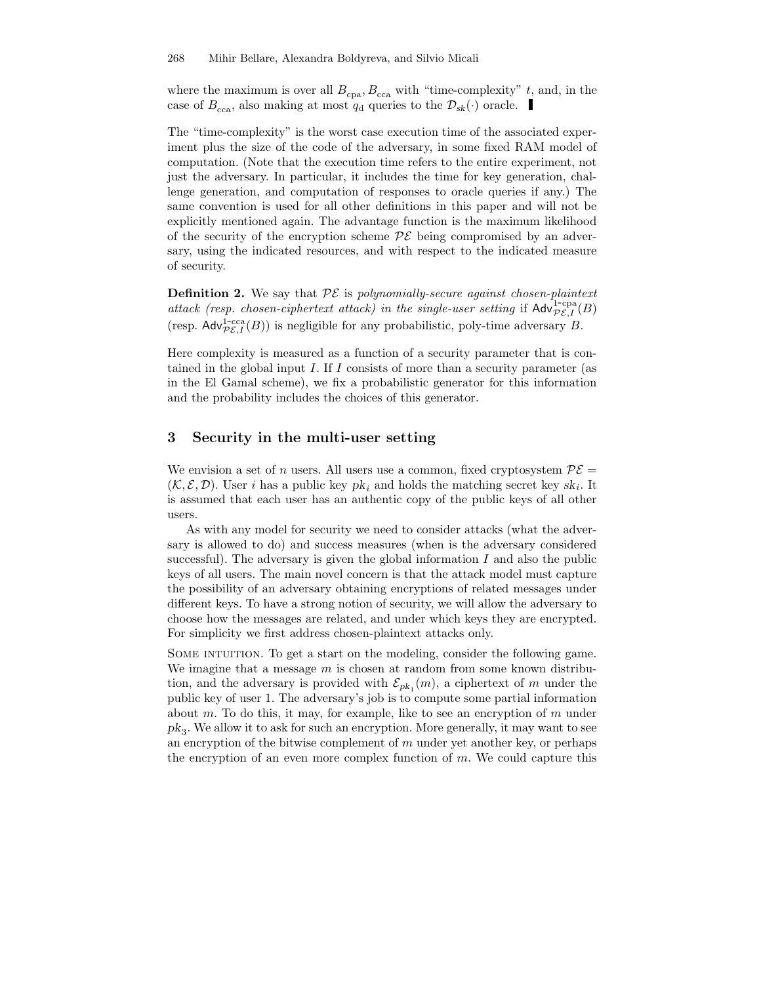where the maximum is over all  $B_{\text{cpa}}$ ,  $B_{\text{cca}}$  with "time-complexity" t, and, in the case of  $B_{\text{cca}}$ , also making at most  $q_d$  queries to the  $\mathcal{D}_{sk}(\cdot)$  oracle.

The "time-complexity" is the worst case execution time of the associated experiment plus the size of the code of the adversary, in some fixed RAM model of computation. (Note that the execution time refers to the entire experiment, not just the adversary. In particular, it includes the time for key generation, challenge generation, and computation of responses to oracle queries if any.) The same convention is used for all other definitions in this paper and will not be explicitly mentioned again. The advantage function is the maximum likelihood of the security of the encryption scheme  $\mathcal{P}\mathcal{E}$  being compromised by an adversary, using the indicated resources, and with respect to the indicated measure of security.

**Definition 2.** We say that  $\mathcal{PE}$  is polynomially-secure against chosen-plaintext attack (resp. chosen-ciphertext attack) in the single-user setting if  $\text{Adv}_{\mathcal{PE},I}^{\text{1-cpa}}(B)$ (resp.  $\mathsf{Adv}_{\mathcal{PE},I}^{1-\text{cca}}(B)$ ) is negligible for any probabilistic, poly-time adversary B.

Here complexity is measured as a function of a security parameter that is contained in the global input  $I$ . If  $I$  consists of more than a security parameter (as in the El Gamal scheme), we fix a probabilistic generator for this information and the probability includes the choices of this generator.

### 3 Security in the multi-user setting

We envision a set of *n* users. All users use a common, fixed cryptosystem  $P\mathcal{E} =$  $(K, \mathcal{E}, \mathcal{D})$ . User *i* has a public key  $pk_i$  and holds the matching secret key  $sk_i$ . It is assumed that each user has an authentic copy of the public keys of all other users.

As with any model for security we need to consider attacks (what the adversary is allowed to do) and success measures (when is the adversary considered successful). The adversary is given the global information  $I$  and also the public keys of all users. The main novel concern is that the attack model must capture the possibility of an adversary obtaining encryptions of related messages under different keys. To have a strong notion of security, we will allow the adversary to choose how the messages are related, and under which keys they are encrypted. For simplicity we first address chosen-plaintext attacks only.

SOME INTUITION. To get a start on the modeling, consider the following game. We imagine that a message  $m$  is chosen at random from some known distribution, and the adversary is provided with  $\mathcal{E}_{pk_1}(m)$ , a ciphertext of m under the public key of user 1. The adversary's job is to compute some partial information about  $m$ . To do this, it may, for example, like to see an encryption of  $m$  under pk<sup>3</sup> . We allow it to ask for such an encryption. More generally, it may want to see an encryption of the bitwise complement of  $m$  under yet another key, or perhaps the encryption of an even more complex function of  $m$ . We could capture this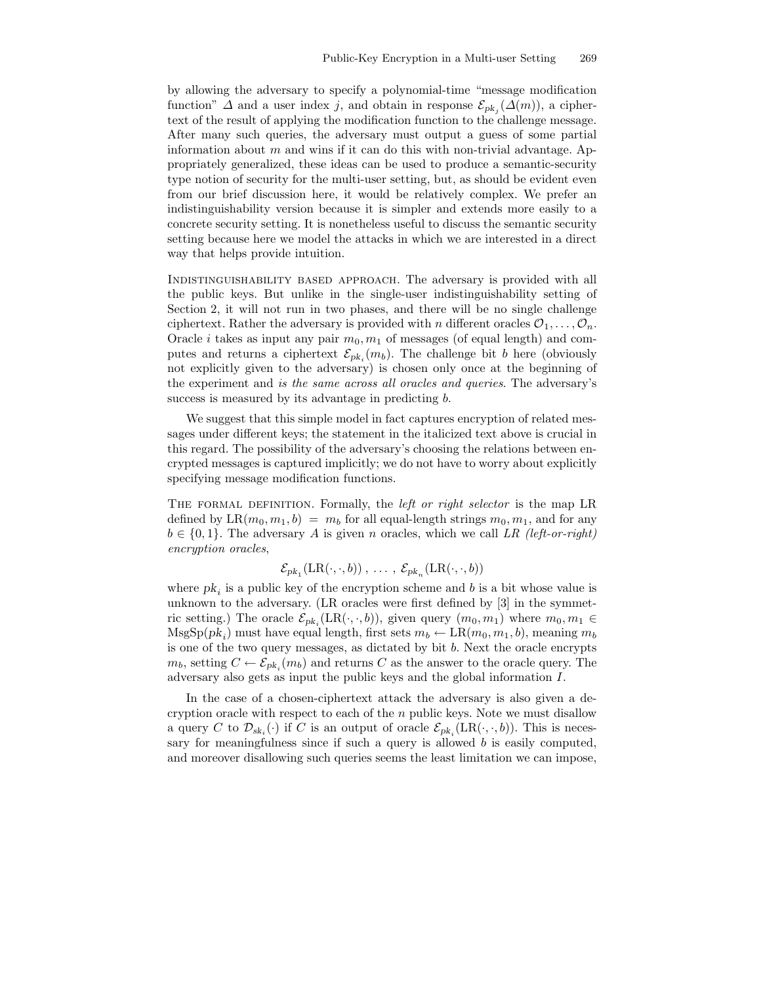by allowing the adversary to specify a polynomial-time "message modification function"  $\Delta$  and a user index j, and obtain in response  $\mathcal{E}_{pk_j}(\Delta(m))$ , a ciphertext of the result of applying the modification function to the challenge message. After many such queries, the adversary must output a guess of some partial information about  $m$  and wins if it can do this with non-trivial advantage. Appropriately generalized, these ideas can be used to produce a semantic-security type notion of security for the multi-user setting, but, as should be evident even from our brief discussion here, it would be relatively complex. We prefer an indistinguishability version because it is simpler and extends more easily to a concrete security setting. It is nonetheless useful to discuss the semantic security setting because here we model the attacks in which we are interested in a direct way that helps provide intuition.

Indistinguishability based approach. The adversary is provided with all the public keys. But unlike in the single-user indistinguishability setting of Section 2, it will not run in two phases, and there will be no single challenge ciphertext. Rather the adversary is provided with n different oracles  $\mathcal{O}_1, \ldots, \mathcal{O}_n$ . Oracle *i* takes as input any pair  $m_0, m_1$  of messages (of equal length) and computes and returns a ciphertext  $\mathcal{E}_{pk_i}(m_b)$ . The challenge bit b here (obviously not explicitly given to the adversary) is chosen only once at the beginning of the experiment and is the same across all oracles and queries. The adversary's success is measured by its advantage in predicting b.

We suggest that this simple model in fact captures encryption of related messages under different keys; the statement in the italicized text above is crucial in this regard. The possibility of the adversary's choosing the relations between encrypted messages is captured implicitly; we do not have to worry about explicitly specifying message modification functions.

THE FORMAL DEFINITION. Formally, the *left or right selector* is the map  $LR$ defined by  $LR(m_0, m_1, b) = m_b$  for all equal-length strings  $m_0, m_1$ , and for any  $b \in \{0,1\}$ . The adversary A is given n oracles, which we call LR (left-or-right) encryption oracles,

$$
\mathcal{E}_{pk_1}(\text{LR}(\cdot,\cdot,b)), \ldots, \mathcal{E}_{pk_n}(\text{LR}(\cdot,\cdot,b))
$$

where  $pk_i$  is a public key of the encryption scheme and b is a bit whose value is unknown to the adversary. (LR oracles were first defined by [3] in the symmetric setting.) The oracle  $\mathcal{E}_{pk_i}(\text{LR}(\cdot,\cdot,b))$ , given query  $(m_0, m_1)$  where  $m_0, m_1 \in$  $\text{MsgSp}(pk_i)$  must have equal length, first sets  $m_b \leftarrow \text{LR}(m_0, m_1, b)$ , meaning  $m_b$ is one of the two query messages, as dictated by bit b. Next the oracle encrypts  $m_b$ , setting  $C \leftarrow \mathcal{E}_{pk_i}(m_b)$  and returns C as the answer to the oracle query. The adversary also gets as input the public keys and the global information I.

In the case of a chosen-ciphertext attack the adversary is also given a decryption oracle with respect to each of the n public keys. Note we must disallow a query C to  $\mathcal{D}_{sk_i}(\cdot)$  if C is an output of oracle  $\mathcal{E}_{pk_i}(\text{LR}(\cdot,\cdot,b))$ . This is necessary for meaningfulness since if such a query is allowed  $b$  is easily computed, and moreover disallowing such queries seems the least limitation we can impose,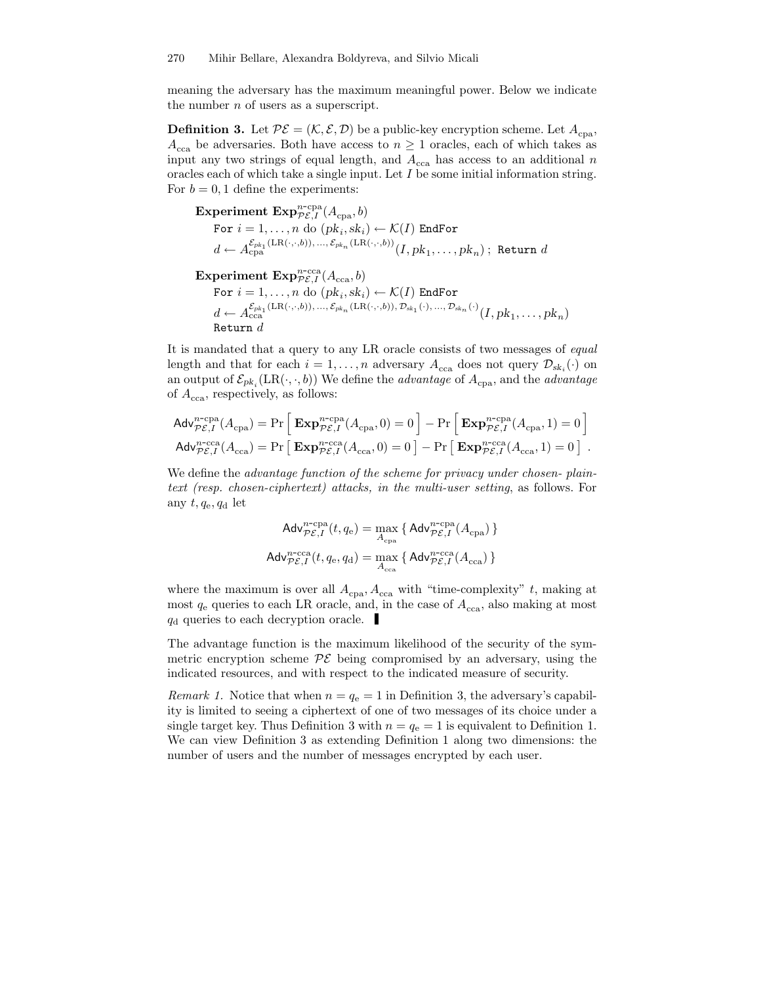meaning the adversary has the maximum meaningful power. Below we indicate the number  $n$  of users as a superscript.

**Definition 3.** Let  $\mathcal{PE} = (\mathcal{K}, \mathcal{E}, \mathcal{D})$  be a public-key encryption scheme. Let  $A_{\text{cna}}$ ,  $A_{\text{cca}}$  be adversaries. Both have access to  $n \geq 1$  oracles, each of which takes as input any two strings of equal length, and  $A_{\text{cca}}$  has access to an additional n oracles each of which take a single input. Let  $I$  be some initial information string. For  $b = 0, 1$  define the experiments:

```
Experiment \mathrm{Exp}_{\mathcal{PE},I}^{n\text{-cpa}}(A_{\mathrm{cpa}},b)For i=1,\ldots,n do (\text{pk}_i,\text{sk}_i) \leftarrow \mathcal{K}(I) EndFor
        d \leftarrow A_{\text{cpa}}^{\mathcal{E}_{pk_1}(\text{LR}(\cdot,\cdot,b)),...,\mathcal{E}_{pk_n}(\text{LR}(\cdot,\cdot,b))}(I,pk_1,\ldots,pk_n) \, ; \,\, \text{Return}\,\, dExperiment \mathrm{Exp}_{\mathcal{PE},I}^{n\text{-}\mathrm{cca}}(A_{\mathrm{cca}},b)For i=1,\ldots,n do (\text{pk}_i,\text{sk}_i) \leftarrow \mathcal{K}(I) EndFor
        d \leftarrow A_{\text{cca}}^{\mathcal{E}_{pk_1}(\text{LR}(\cdot,\cdot,b)),...,\mathcal{E}_{pk_n}(\text{LR}(\cdot,\cdot,b)),\mathcal{D}_{sk_1}(\cdot),...,\mathcal{D}_{sk_n}(\cdot)}(I,pk_1,\ldots,pk_n){\tt Return} d
```
It is mandated that a query to any LR oracle consists of two messages of equal length and that for each  $i = 1, ..., n$  adversary  $A_{\text{cca}}$  does not query  $\mathcal{D}_{sk_i}(\cdot)$  on an output of  $\mathcal{E}_{pk_i}(\text{LR}(\cdot,\cdot,b))$  We define the *advantage* of  $A_{\text{cpa}},$  and the *advantage* of  $A_{\text{cca}}$ , respectively, as follows:

$$
\begin{aligned} &\mathsf{Adv}_{\mathcal{PE},I}^{n\text{-cpa}}(A_\text{cpa}) = \Pr\Big[\,\mathbf{Exp}_{\mathcal{PE},I}^{n\text{-cpa}}(A_\text{cpa},0) = 0\,\Big] - \Pr\Big[\,\mathbf{Exp}_{\mathcal{PE},I}^{n\text{-cpa}}(A_\text{cpa},1) = 0\,\Big] \\ &\mathsf{Adv}_{\mathcal{PE},I}^{n\text{-ca}}(A_\text{cca}) = \Pr\big[\,\mathbf{Exp}_{\mathcal{PE},I}^{n\text{-ca}}(A_\text{cca},0) = 0\,\big] - \Pr\big[\,\mathbf{Exp}_{\mathcal{PE},I}^{n\text{-ca}}(A_\text{cca},1) = 0\,\big]\ . \end{aligned}
$$

We define the *advantage function of the scheme for privacy under chosen-plain*text (resp. chosen-ciphertext) attacks, in the multi-user setting, as follows. For any  $t, q_e, q_d$  let

$$
\mathsf{Adv}_{\mathcal{PE},I}^{n\text{-cpa}}(t,q_\mathrm{e}) = \max_{A_\mathrm{cpa}} \left\{ \mathsf{Adv}_{\mathcal{PE},I}^{n\text{-cpa}}(A_\mathrm{cpa}) \right\}
$$
\n
$$
\mathsf{Adv}_{\mathcal{PE},I}^{n\text{-cca}}(t,q_\mathrm{e},q_\mathrm{d}) = \max_{A_\mathrm{cca}} \left\{ \mathsf{Adv}_{\mathcal{PE},I}^{n\text{-cca}}(A_\mathrm{cca}) \right\}
$$

where the maximum is over all  $A_{\rm cpa}, A_{\rm cca}$  with "time-complexity"  $t,$  making at most  $q_e$  queries to each LR oracle, and, in the case of  $A_{cca}$ , also making at most  $q_d$  queries to each decryption oracle.

The advantage function is the maximum likelihood of the security of the symmetric encryption scheme  $\mathcal{P} \mathcal{E}$  being compromised by an adversary, using the indicated resources, and with respect to the indicated measure of security.

Remark 1. Notice that when  $n = q_e = 1$  in Definition 3, the adversary's capability is limited to seeing a ciphertext of one of two messages of its choice under a single target key. Thus Definition 3 with  $n = q_e = 1$  is equivalent to Definition 1. We can view Definition 3 as extending Definition 1 along two dimensions: the number of users and the number of messages encrypted by each user.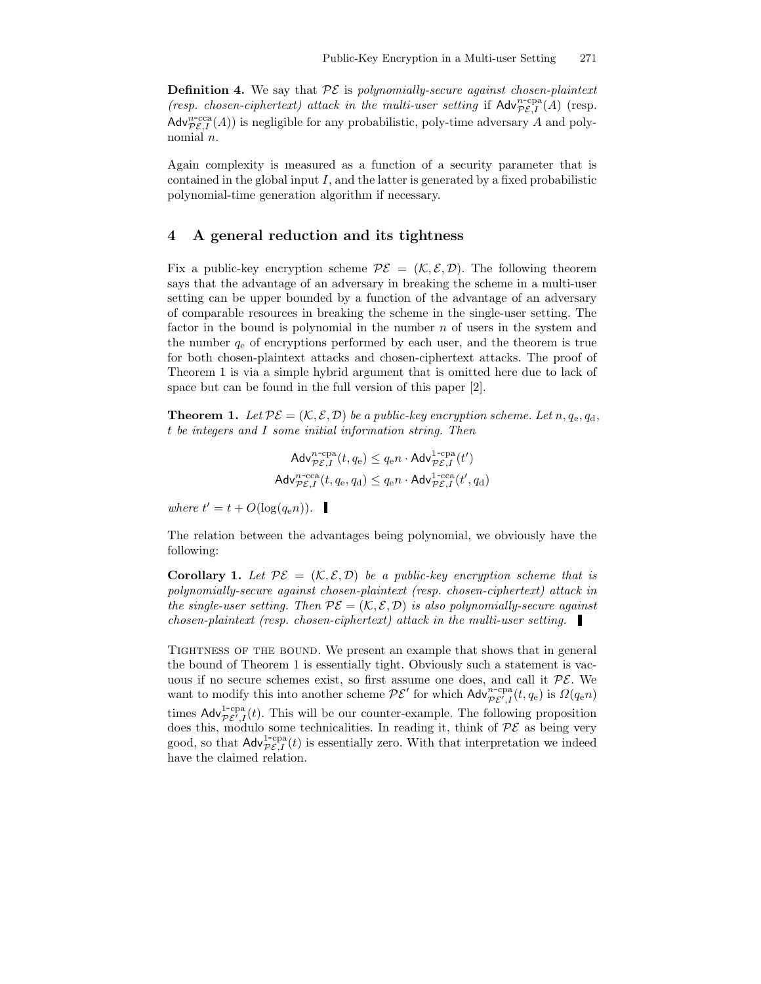**Definition 4.** We say that  $\mathcal{PE}$  is polynomially-secure against chosen-plaintext (resp. chosen-ciphertext) attack in the multi-user setting if  $\mathsf{Adv}_{\mathcal{PE},I}^{n-cpa}(A)$  (resp.  $\mathsf{Adv}_{\mathcal{PE},I}^{n\text{-}\mathrm{cca}}(A)$ ) is negligible for any probabilistic, poly-time adversary A and polynomial n.

Again complexity is measured as a function of a security parameter that is contained in the global input  $I$ , and the latter is generated by a fixed probabilistic polynomial-time generation algorithm if necessary.

### 4 A general reduction and its tightness

Fix a public-key encryption scheme  $\mathcal{P}\mathcal{E} = (\mathcal{K}, \mathcal{E}, \mathcal{D})$ . The following theorem says that the advantage of an adversary in breaking the scheme in a multi-user setting can be upper bounded by a function of the advantage of an adversary of comparable resources in breaking the scheme in the single-user setting. The factor in the bound is polynomial in the number  $n$  of users in the system and the number  $q_e$  of encryptions performed by each user, and the theorem is true for both chosen-plaintext attacks and chosen-ciphertext attacks. The proof of Theorem 1 is via a simple hybrid argument that is omitted here due to lack of space but can be found in the full version of this paper [2].

**Theorem 1.** Let  $\mathcal{PE} = (\mathcal{K}, \mathcal{E}, \mathcal{D})$  be a public-key encryption scheme. Let  $n, q_e, q_d$ , t be integers and I some initial information string. Then

$$
\mathsf{Adv}_{\mathcal{PE},I}^{n\text{-cpa}}(t,q_e) \leq q_{\mathrm{e}}n \cdot \mathsf{Adv}_{\mathcal{PE},I}^{1\text{-cpa}}(t')
$$
  

$$
\mathsf{Adv}_{\mathcal{PE},I}^{n\text{-cca}}(t,q_{\mathrm{e}},q_{\mathrm{d}}) \leq q_{\mathrm{e}}n \cdot \mathsf{Adv}_{\mathcal{PE},I}^{1\text{-cca}}(t',q_{\mathrm{d}})
$$

where  $t' = t + O(\log(q_e n)).$ 

The relation between the advantages being polynomial, we obviously have the following:

**Corollary 1.** Let  $\mathcal{PE} = (\mathcal{K}, \mathcal{E}, \mathcal{D})$  be a public-key encryption scheme that is polynomially-secure against chosen-plaintext (resp. chosen-ciphertext) attack in the single-user setting. Then  $\mathcal{P}\mathcal{E} = (\mathcal{K}, \mathcal{E}, \mathcal{D})$  is also polynomially-secure against chosen-plaintext (resp. chosen-ciphertext) attack in the multi-user setting.

Tightness of the bound. We present an example that shows that in general the bound of Theorem 1 is essentially tight. Obviously such a statement is vacuous if no secure schemes exist, so first assume one does, and call it  $\mathcal{PE}$ . We want to modify this into another scheme  $\mathcal{PE}'$  for which  $\text{Adv}_{\mathcal{PE}',I}^{\text{even}}(t, q_e)$  is  $\Omega(q_e n)$ times  $\mathsf{Adv}_{\mathcal{PE}',I}^{1-\text{cpa}}(t)$ . This will be our counter-example. The following proposition does this, modulo some technicalities. In reading it, think of  $\mathcal{PE}$  as being very good, so that  $\text{Adv}_{\mathcal{PE},I}^{1-\text{cpa}}(t)$  is essentially zero. With that interpretation we indeed have the claimed relation.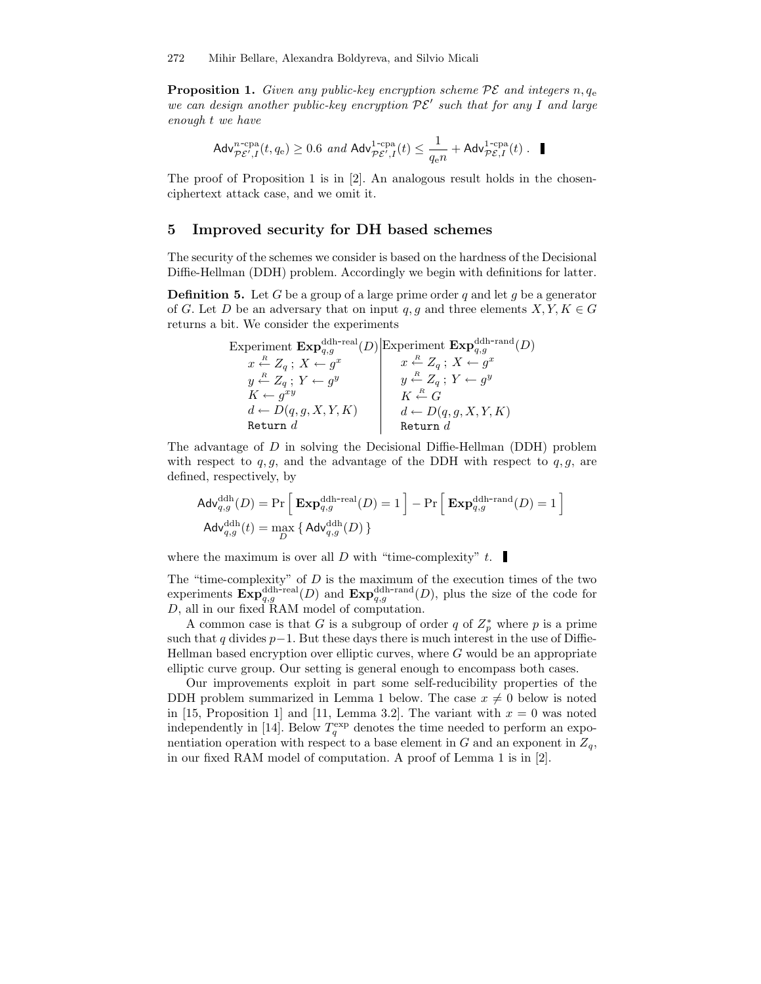**Proposition 1.** Given any public-key encryption scheme  $\mathcal{PE}$  and integers n,  $q_e$ we can design another public-key encryption  $\mathcal{P} \mathcal{E}'$  such that for any I and large enough t we have

$$
\mathsf{Adv}_{\mathcal{PE}',I}^{n\text{-cpa}}(t,q_e) \geq 0.6\ \ \text{and}\ \mathsf{Adv}_{\mathcal{PE}',I}^{1\text{-cpa}}(t) \leq \frac{1}{q_e n} + \mathsf{Adv}_{\mathcal{PE},I}^{1\text{-cpa}}(t)\ .\quad \blacksquare
$$

The proof of Proposition 1 is in [2]. An analogous result holds in the chosenciphertext attack case, and we omit it.

#### 5 Improved security for DH based schemes

The security of the schemes we consider is based on the hardness of the Decisional Diffie-Hellman (DDH) problem. Accordingly we begin with definitions for latter.

**Definition 5.** Let G be a group of a large prime order q and let q be a generator of G. Let D be an adversary that on input q, g and three elements  $X, Y, K \in G$ returns a bit. We consider the experiments

$$
\begin{array}{c|c|c} \text{Experiment}\; \mathbf{Exp}^{\text{ddh-real}}_{q,g}(D) & \text{Experiment}\; \mathbf{Exp}^{\text{ddh-rand}}_{q,g}(D) \\ x \stackrel{R}{\leftarrow} Z_q \, ; \; X \leftarrow g^x & x \stackrel{R}{\leftarrow} Z_q \, ; \; X \leftarrow g^x \\ y \stackrel{R}{\leftarrow} Z_q \, ; \; Y \leftarrow g^y & y \stackrel{R}{\leftarrow} Z_q \, ; \; Y \leftarrow g^y \\ K \stackrel{R}{\leftarrow} G & d \leftarrow D(q,g,X,Y,K) \\ \text{Return}\; d & \text{Return}\; d \\ \end{array}
$$

The advantage of D in solving the Decisional Diffie-Hellman (DDH) problem with respect to  $q, g$ , and the advantage of the DDH with respect to  $q, g$ , are defined, respectively, by

$$
\begin{aligned}\n\mathsf{Adv}_{q,g}^{\text{ddh}}(D) &= \Pr\left[\ \mathbf{Exp}_{q,g}^{\text{ddh}\text{-real}}(D) = 1 \ \right] - \Pr\left[\ \mathbf{Exp}_{q,g}^{\text{ddh}\text{-rand}}(D) = 1 \ \right] \\
\mathsf{Adv}_{q,g}^{\text{ddh}}(t) &= \max_{D} \left\{ \mathsf{Adv}_{q,g}^{\text{ddh}}(D) \ \right\}\n\end{aligned}
$$

where the maximum is over all  $D$  with "time-complexity"  $t$ .

The "time-complexity" of  $D$  is the maximum of the execution times of the two experiments  $\mathbf{Exp}_{q,g}^{\text{ddh-real}}(D)$  and  $\mathbf{Exp}_{q,g}^{\text{ddh-real}}(D)$ , plus the size of the code for D, all in our fixed RAM model of computation.

A common case is that G is a subgroup of order q of  $Z_p^*$  where p is a prime such that q divides  $p-1$ . But these days there is much interest in the use of Diffie-Hellman based encryption over elliptic curves, where  $G$  would be an appropriate elliptic curve group. Our setting is general enough to encompass both cases.

Our improvements exploit in part some self-reducibility properties of the DDH problem summarized in Lemma 1 below. The case  $x \neq 0$  below is noted in [15, Proposition 1] and [11, Lemma 3.2]. The variant with  $x = 0$  was noted independently in [14]. Below  $T_q^{\text{exp}}$  denotes the time needed to perform an exponentiation operation with respect to a base element in  $G$  and an exponent in  $Z_q$ , in our fixed RAM model of computation. A proof of Lemma 1 is in [2].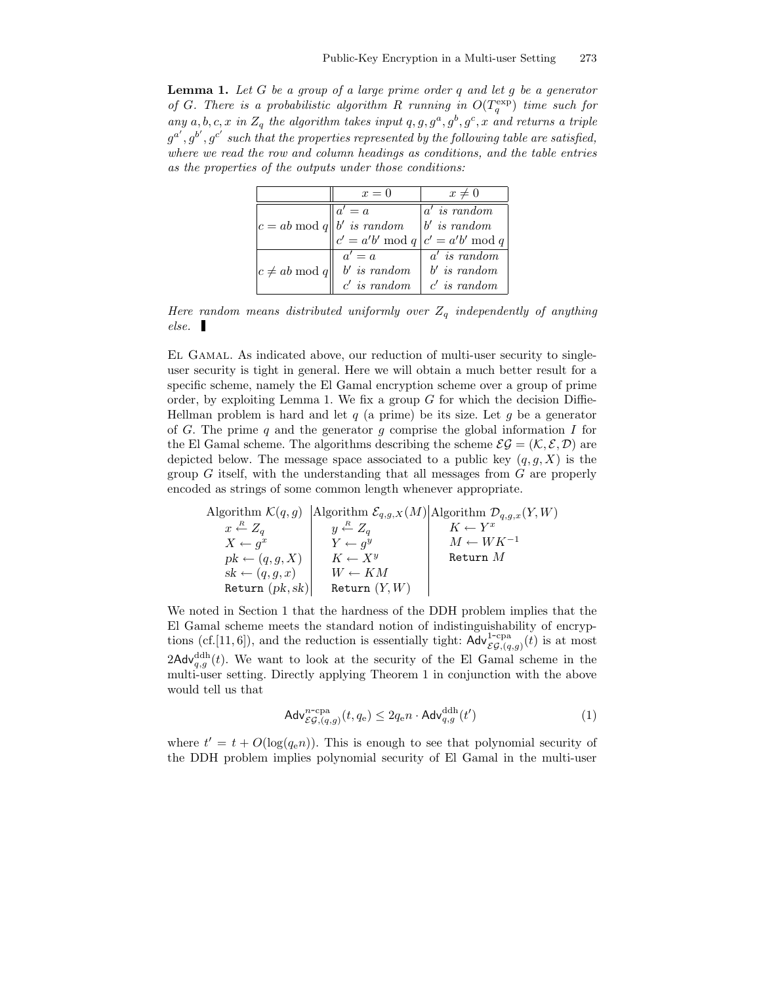**Lemma 1.** Let G be a group of a large prime order q and let q be a generator of G. There is a probabilistic algorithm R running in  $O(T_q^{\exp})$  time such for any  $a, b, c, x$  in  $Z_q$  the algorithm takes input  $q, g, g^a, g^b, g^c, x$  and returns a triple  $g^{a'}, g^{b'}, g^{c'}$  such that the properties represented by the following table are satisfied, where we read the row and column headings as conditions, and the table entries as the properties of the outputs under those conditions:

|                                      | $x=0$          | $x\neq 0$                                                               |
|--------------------------------------|----------------|-------------------------------------------------------------------------|
|                                      | $a'=a$         | $a'$ is random                                                          |
| $c = ab \bmod q$ <i>b'</i> is random |                | $\vert b' \rangle$ is random<br>$c' = a'b' \bmod q$ $c' = a'b' \bmod q$ |
|                                      | $a' = a$       | $a'$ is random                                                          |
| $c \neq ab \bmod q$                  | $b'$ is random | $\mid b' \text{ is random}$                                             |
|                                      | $c'$ is random | $c'$ is random                                                          |

Here random means distributed uniformly over  $Z_q$  independently of anything else.

El Gamal. As indicated above, our reduction of multi-user security to singleuser security is tight in general. Here we will obtain a much better result for a specific scheme, namely the El Gamal encryption scheme over a group of prime order, by exploiting Lemma 1. We fix a group  $G$  for which the decision Diffie-Hellman problem is hard and let  $q$  (a prime) be its size. Let  $q$  be a generator of G. The prime q and the generator q comprise the global information I for the El Gamal scheme. The algorithms describing the scheme  $\mathcal{EG} = (\mathcal{K}, \mathcal{E}, \mathcal{D})$  are depicted below. The message space associated to a public key  $(q, g, X)$  is the group  $G$  itself, with the understanding that all messages from  $G$  are properly encoded as strings of some common length whenever appropriate.

Algorithm 
$$
K(q, g)
$$
 Algorithm  $\mathcal{E}_{q,g,X}(M)$  Algorithm  $\mathcal{D}_{q,g,x}(Y,W)$   
\n $x \stackrel{R}{\leftarrow} Z_q$   
\n $X \leftarrow g^x$   
\n $Y \leftarrow g^y$   
\n $X \leftarrow (q, g, X)$   
\n $K \leftarrow X^y$   
\n $X \leftarrow (q, g, x)$   
\n $W \leftarrow KM$   
\nReturn  $(p, sk)$   
\nReturn  $(Y, W)$ 

We noted in Section 1 that the hardness of the DDH problem implies that the El Gamal scheme meets the standard notion of indistinguishability of encryptions (cf.[11, 6]), and the reduction is essentially tight:  $\text{Adv}_{\mathcal{EG},(q,g)}^{1-\text{cpa}}(t)$  is at most  $2\mathsf{Adv}_{q,g}^{\text{ddh}}(t)$ . We want to look at the security of the El Gamal scheme in the multi-user setting. Directly applying Theorem 1 in conjunction with the above would tell us that

$$
\mathsf{Adv}_{\mathcal{EG},(q,g)}^{\text{$n$-cpa}}(t, q_e) \leq 2q_e n \cdot \mathsf{Adv}_{q,g}^{\text{ddh}}(t') \tag{1}
$$

where  $t' = t + O(\log(q_e n))$ . This is enough to see that polynomial security of the DDH problem implies polynomial security of El Gamal in the multi-user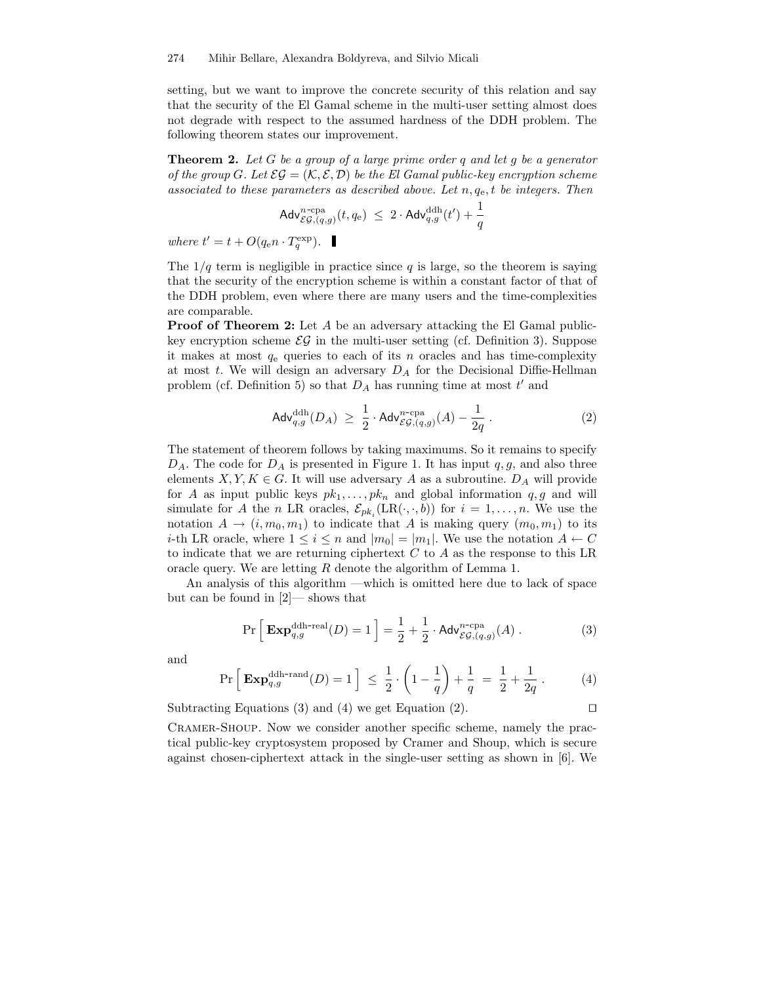setting, but we want to improve the concrete security of this relation and say that the security of the El Gamal scheme in the multi-user setting almost does not degrade with respect to the assumed hardness of the DDH problem. The following theorem states our improvement.

**Theorem 2.** Let G be a group of a large prime order q and let q be a generator of the group G. Let  $\mathcal{EG} = (\mathcal{K}, \mathcal{E}, \mathcal{D})$  be the El Gamal public-key encryption scheme associated to these parameters as described above. Let  $n, q_e, t$  be integers. Then

$$
\mathsf{Adv}_{\mathcal{EG},(q,g)}^{\mathit{n\text{-}cpa}}(t,q_{\mathsf{e}}) \ \leq \ 2 \cdot \mathsf{Adv}_{q,g}^{\mathsf{ddh}}(t') + \frac{1}{q}
$$

where  $t' = t + O(q_{e}n \cdot T_q^{\exp}).$ 

The  $1/q$  term is negligible in practice since q is large, so the theorem is saying that the security of the encryption scheme is within a constant factor of that of the DDH problem, even where there are many users and the time-complexities are comparable.

**Proof of Theorem 2:** Let A be an adversary attacking the El Gamal publickey encryption scheme  $\mathcal{EG}$  in the multi-user setting (cf. Definition 3). Suppose it makes at most  $q_e$  queries to each of its n oracles and has time-complexity at most  $t$ . We will design an adversary  $D_A$  for the Decisional Diffie-Hellman problem (cf. Definition 5) so that  $D_A$  has running time at most  $t'$  and

$$
\mathsf{Adv}_{q,g}^{\mathrm{ddh}}(D_A) \ge \frac{1}{2} \cdot \mathsf{Adv}_{\mathcal{EG},(q,g)}^{n\text{-cpa}}(A) - \frac{1}{2q} \,. \tag{2}
$$

The statement of theorem follows by taking maximums. So it remains to specify  $D_A$ . The code for  $D_A$  is presented in Figure 1. It has input  $q, g$ , and also three elements  $X, Y, K \in G$ . It will use adversary A as a subroutine.  $D_A$  will provide for A as input public keys  $pk_1, \ldots, pk_n$  and global information  $q, g$  and will simulate for A the n LR oracles,  $\mathcal{E}_{pk_i}(\text{LR}(\cdot,\cdot,b))$  for  $i=1,\ldots,n$ . We use the notation  $A \to (i, m_0, m_1)$  to indicate that A is making query  $(m_0, m_1)$  to its *i*-th LR oracle, where  $1 \leq i \leq n$  and  $|m_0| = |m_1|$ . We use the notation  $A \leftarrow C$ to indicate that we are returning ciphertext  $C$  to  $A$  as the response to this LR oracle query. We are letting R denote the algorithm of Lemma 1.

An analysis of this algorithm —which is omitted here due to lack of space but can be found in [2]— shows that

$$
\Pr\left[\mathbf{Exp}_{q,g}^{\mathrm{ddh}\text{-}\mathrm{real}}(D) = 1\right] = \frac{1}{2} + \frac{1}{2} \cdot \mathsf{Adv}_{\mathcal{EG},(q,g)}^{n\text{-}\mathrm{cpa}}(A) . \tag{3}
$$

and

$$
\Pr\left[\,\mathbf{Exp}_{q,g}^{\mathrm{ddh}\text{-}rand}(D) = 1\,\right] \leq \frac{1}{2} \cdot \left(1 - \frac{1}{q}\right) + \frac{1}{q} = \frac{1}{2} + \frac{1}{2q} \,. \tag{4}
$$

Subtracting Equations (3) and (4) we get Equation (2).  $\Box$ 

Cramer-Shoup. Now we consider another specific scheme, namely the practical public-key cryptosystem proposed by Cramer and Shoup, which is secure against chosen-ciphertext attack in the single-user setting as shown in [6]. We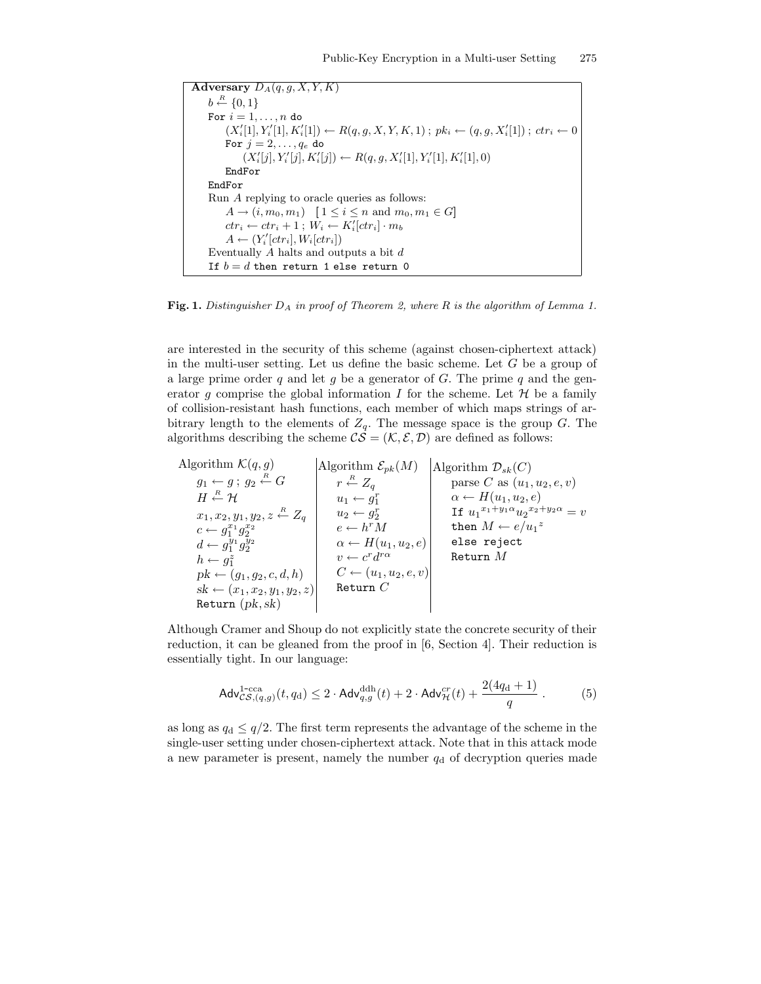```
Adversary D_A(q,g,X,Y,K)b \stackrel{R}{\leftarrow} \{0,1\}For i = 1, \ldots, n do
         (X'_{i}[1], Y'_{i}[1], K'_{i}[1]) \leftarrow R(q, g, X, Y, K, 1); pk_i \leftarrow (q, g, X'_{i}[1]); ctr_i \leftarrow 0For j = 2, \ldots, q_e do
              (X'_{i}[j], Y'_{i}[j], K'_{i}[j]) \leftarrow R(q, g, X'_{i}[1], Y'_{i}[1], K'_{i}[1], 0)EndFor
    EndFor
    Run A replying to oracle queries as follows:
         A \to (i, m_0, m_1) \quad [1 \le i \le n \text{ and } m_0, m_1 \in G]ctr_i \leftarrow ctr_i + 1; W_i \leftarrow K'_i[ctr_i] \cdot m_bA \leftarrow (Y_i'[ctr_i], W_i[ctr_i])Eventually {\cal A} halts and outputs a bit dIf b = d then return 1 else return 0
```
Fig. 1. Distinguisher  $D_A$  in proof of Theorem 2, where R is the algorithm of Lemma 1.

are interested in the security of this scheme (against chosen-ciphertext attack) in the multi-user setting. Let us define the basic scheme. Let  $G$  be a group of a large prime order  $q$  and let  $g$  be a generator of  $G$ . The prime  $q$  and the generator g comprise the global information I for the scheme. Let  $H$  be a family of collision-resistant hash functions, each member of which maps strings of arbitrary length to the elements of  $Z_q$ . The message space is the group G. The algorithms describing the scheme  $\mathcal{CS} = (\mathcal{K}, \mathcal{E}, \mathcal{D})$  are defined as follows:

Algorithm 
$$
K(q, g)
$$
  
\n $g_1 \leftarrow g; g_2 \leftarrow G$   
\n $H \leftarrow H$   
\n $x_1, x_2, y_1, y_2, z \leftarrow Z_q$   
\n $c \leftarrow g_1^{x_1} g_2^{x_2}$   
\n $d \leftarrow g_1^{y_1} g_2^{y_2}$   
\n $p \leftarrow g_2^{x_1} g_2^{x_2}$   
\n $d \leftarrow g_1^{y_1} g_2^{y_2}$   
\n $p \leftarrow g_2^{x_1} g_2^{x_2}$   
\n $p \leftarrow g_1^{x_1} g_2^{x_2} \leftarrow g_2^{x_2}$   
\n $p \leftarrow g_1^{x_1} g_2^{x_2}$   
\n $p \leftarrow g_1^{x_1} g_2^{x_2}$   
\n $p \leftarrow g_1^{x_1} g_2^{x_2}$   
\n $p \leftarrow g_1^{x_1} g_2^{x_2}$   
\n $p \leftarrow g_1^{x_1} g_2^{x_2}$   
\n $p \leftarrow g_1^{x_1} g_2^{x_2}$   
\n $p \leftarrow g_1^{x_1} g_2^{x_2}$   
\n $p \leftarrow g_1^{x_1} g_2^{x_2}$   
\n $p \leftarrow g_1^{x_1} g_2^{x_2}$   
\n $p \leftarrow g_1^{x_1} g_2^{x_2}$   
\n $p \leftarrow g_1^{x_1} g_2^{x_2}$   
\n $p \leftarrow g_1^{x_1} g_2^{x_2}$   
\n $p \leftarrow g_1^{x_1} g_2^{x_2}$   
\n $p \leftarrow g_1^{x_1} g_2^{x_2}$   
\n $p \leftarrow g_1^{x_1} g_2^{x_2}$   
\n $p \leftarrow g_1^{x_1} g_2^{x_2}$   
\n $p \leftarrow g_1^{x_1} g_2^{x_2}$   
\n $p \leftarrow g_1^{x_1} g_2^{x_2}$   
\n $p \leftarrow g_1^{x_1} g_2^{x_2}$   
\

Although Cramer and Shoup do not explicitly state the concrete security of their reduction, it can be gleaned from the proof in [6, Section 4]. Their reduction is essentially tight. In our language:

$$
\mathsf{Adv}_{\mathcal{CS},(q,g)}^{\mathsf{1-cca}}(t,q_{\mathsf{d}}) \leq 2 \cdot \mathsf{Adv}_{q,g}^{\mathsf{ddh}}(t) + 2 \cdot \mathsf{Adv}_{\mathcal{H}}^{cr}(t) + \frac{2(4q_{\mathsf{d}}+1)}{q} \ . \tag{5}
$$

as long as  $q_d \leq q/2$ . The first term represents the advantage of the scheme in the single-user setting under chosen-ciphertext attack. Note that in this attack mode a new parameter is present, namely the number  $q<sub>d</sub>$  of decryption queries made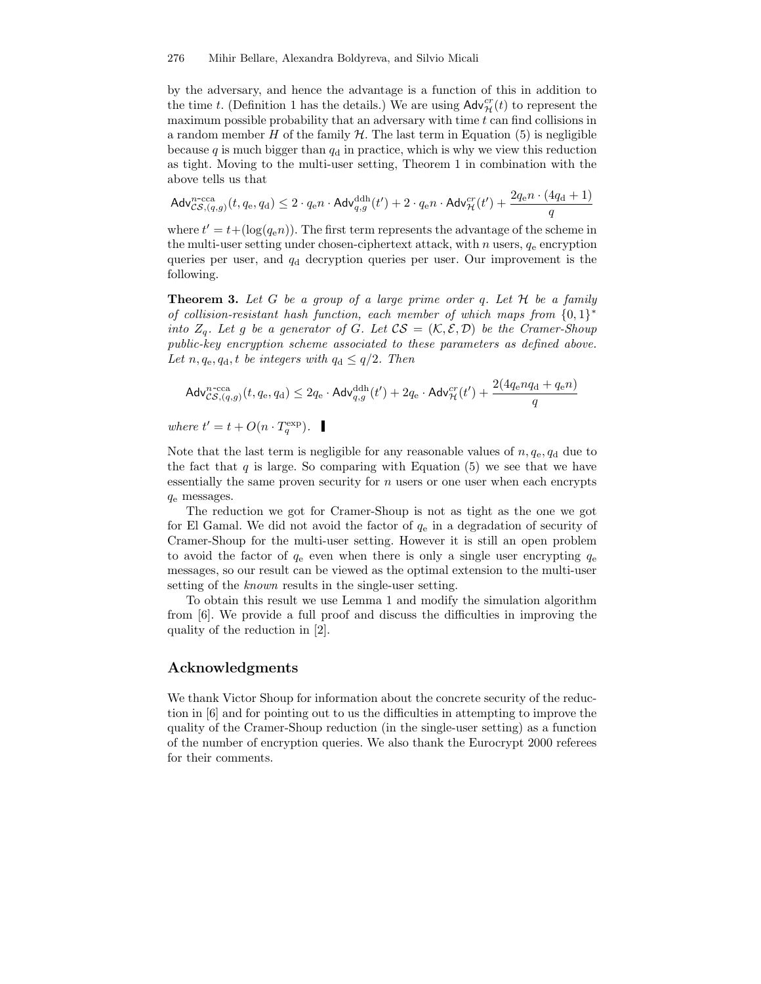#### 276 Mihir Bellare, Alexandra Boldyreva, and Silvio Micali

by the adversary, and hence the advantage is a function of this in addition to the time t. (Definition 1 has the details.) We are using  $\mathsf{Adv}_{\mathcal{H}}^{cr}(t)$  to represent the maximum possible probability that an adversary with time  $t$  can find collisions in a random member H of the family  $H$ . The last term in Equation (5) is negligible because q is much bigger than  $q_d$  in practice, which is why we view this reduction as tight. Moving to the multi-user setting, Theorem 1 in combination with the above tells us that

$$
\mathsf{Adv}_{\mathcal{CS},(q,g)}^{\mathit{n}\text{-}\mathrm{cca}}(t,q_{\mathrm{e}},q_{\mathrm{d}})\leq 2\cdot q_{\mathrm{e}} n\cdot \mathsf{Adv}_{q,g}^{\mathrm{ddh}}(t')+2\cdot q_{\mathrm{e}} n\cdot \mathsf{Adv}_{\mathcal{H}}^{cr}(t')+\frac{2q_{\mathrm{e}} n\cdot (4q_{\mathrm{d}}+1)}{q}
$$

where  $t' = t + (\log(q_{e}n))$ . The first term represents the advantage of the scheme in the multi-user setting under chosen-ciphertext attack, with  $n$  users,  $q_e$  encryption queries per user, and  $q_d$  decryption queries per user. Our improvement is the following.

**Theorem 3.** Let G be a group of a large prime order q. Let  $H$  be a family of collision-resistant hash function, each member of which maps from  $\{0,1\}^*$ into  $Z_q$ . Let g be a generator of G. Let  $\mathcal{CS} = (\mathcal{K}, \mathcal{E}, \mathcal{D})$  be the Cramer-Shoup public-key encryption scheme associated to these parameters as defined above. Let  $n, q_e, q_d, t$  be integers with  $q_d \leq q/2$ . Then

$$
\mathsf{Adv}^{n\text{-}\mathrm{cca}}_{\mathcal{CS},(q,g)}(t,q_{\mathrm{e}},q_{\mathrm{d}}) \leq 2q_{\mathrm{e}} \cdot \mathsf{Adv}^{\mathrm{ddh}}_{q,g}(t') + 2q_{\mathrm{e}} \cdot \mathsf{Adv}^{cr}_{\mathcal{H}}(t') + \frac{2(4q_{\mathrm{e}}nq_{\mathrm{d}} + q_{\mathrm{e}}n)}{q}
$$

where  $t' = t + O(n \cdot T_q^{\exp}).$ 

Note that the last term is negligible for any reasonable values of  $n, q<sub>e</sub>, q<sub>d</sub>$  due to the fact that  $q$  is large. So comparing with Equation (5) we see that we have essentially the same proven security for  $n$  users or one user when each encrypts q<sup>e</sup> messages.

The reduction we got for Cramer-Shoup is not as tight as the one we got for El Gamal. We did not avoid the factor of  $q_e$  in a degradation of security of Cramer-Shoup for the multi-user setting. However it is still an open problem to avoid the factor of  $q_e$  even when there is only a single user encrypting  $q_e$ messages, so our result can be viewed as the optimal extension to the multi-user setting of the *known* results in the single-user setting.

To obtain this result we use Lemma 1 and modify the simulation algorithm from [6]. We provide a full proof and discuss the difficulties in improving the quality of the reduction in [2].

#### Acknowledgments

We thank Victor Shoup for information about the concrete security of the reduction in [6] and for pointing out to us the difficulties in attempting to improve the quality of the Cramer-Shoup reduction (in the single-user setting) as a function of the number of encryption queries. We also thank the Eurocrypt 2000 referees for their comments.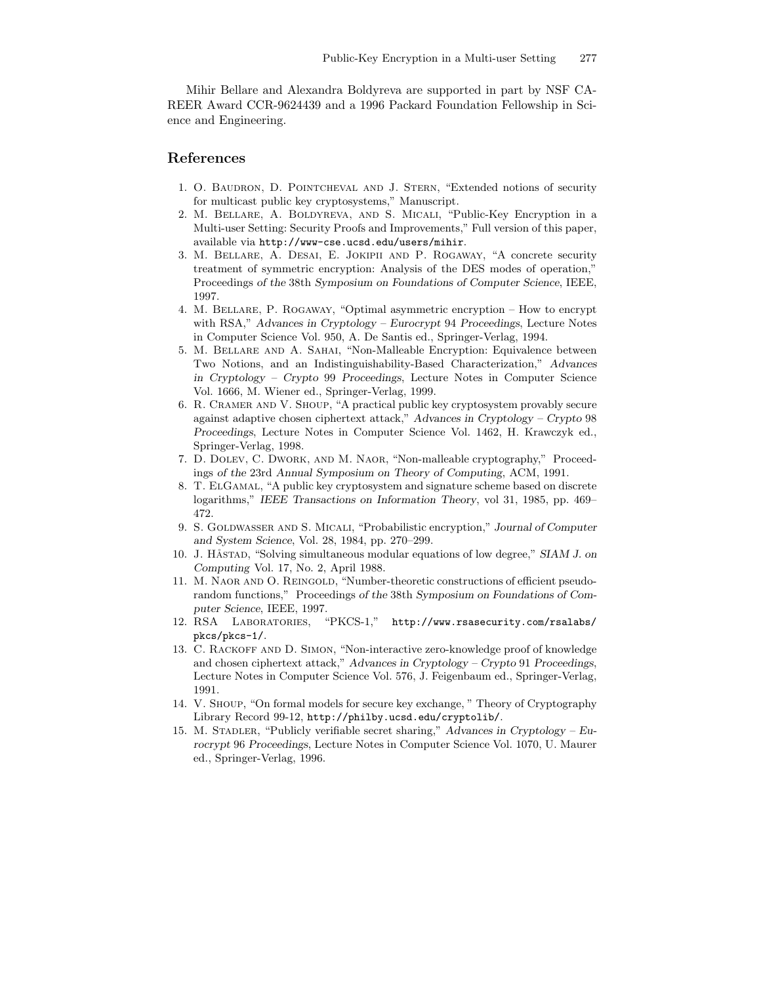Mihir Bellare and Alexandra Boldyreva are supported in part by NSF CA-REER Award CCR-9624439 and a 1996 Packard Foundation Fellowship in Science and Engineering.

#### References

- 1. O. Baudron, D. Pointcheval and J. Stern, "Extended notions of security for multicast public key cryptosystems," Manuscript.
- 2. M. Bellare, A. Boldyreva, and S. Micali, "Public-Key Encryption in a Multi-user Setting: Security Proofs and Improvements," Full version of this paper, available via http://www-cse.ucsd.edu/users/mihir.
- 3. M. Bellare, A. Desai, E. Jokipii and P. Rogaway, "A concrete security treatment of symmetric encryption: Analysis of the DES modes of operation," Proceedings of the 38th Symposium on Foundations of Computer Science, IEEE, 1997.
- 4. M. Bellare, P. Rogaway, "Optimal asymmetric encryption How to encrypt with RSA," Advances in Cryptology – Eurocrypt 94 Proceedings, Lecture Notes in Computer Science Vol. 950, A. De Santis ed., Springer-Verlag, 1994.
- 5. M. Bellare and A. Sahai, "Non-Malleable Encryption: Equivalence between Two Notions, and an Indistinguishability-Based Characterization," Advances in Cryptology – Crypto 99 Proceedings, Lecture Notes in Computer Science Vol. 1666, M. Wiener ed., Springer-Verlag, 1999.
- 6. R. Cramer and V. Shoup, "A practical public key cryptosystem provably secure against adaptive chosen ciphertext attack," Advances in Cryptology – Crypto 98 Proceedings, Lecture Notes in Computer Science Vol. 1462, H. Krawczyk ed., Springer-Verlag, 1998.
- 7. D. Dolev, C. Dwork, and M. Naor, "Non-malleable cryptography," Proceedings of the 23rd Annual Symposium on Theory of Computing, ACM, 1991.
- 8. T. ElGamal, "A public key cryptosystem and signature scheme based on discrete logarithms," IEEE Transactions on Information Theory, vol 31, 1985, pp. 469– 472.
- 9. S. GOLDWASSER AND S. MICALI, "Probabilistic encryption," Journal of Computer and System Science, Vol. 28, 1984, pp. 270–299.
- 10. J. HÅSTAD, "Solving simultaneous modular equations of low degree," SIAM J. on Computing Vol. 17, No. 2, April 1988.
- 11. M. NAOR AND O. REINGOLD, "Number-theoretic constructions of efficient pseudorandom functions," Proceedings of the 38th Symposium on Foundations of Computer Science, IEEE, 1997.
- 12. RSA Laboratories, "PKCS-1," http://www.rsasecurity.com/rsalabs/ pkcs/pkcs-1/.
- 13. C. Rackoff and D. Simon, "Non-interactive zero-knowledge proof of knowledge and chosen ciphertext attack," Advances in Cryptology – Crypto 91 Proceedings, Lecture Notes in Computer Science Vol. 576, J. Feigenbaum ed., Springer-Verlag, 1991.
- 14. V. Shoup, "On formal models for secure key exchange, " Theory of Cryptography Library Record 99-12, http://philby.ucsd.edu/cryptolib/.
- 15. M. Stadler, "Publicly verifiable secret sharing," Advances in Cryptology Eurocrypt 96 Proceedings, Lecture Notes in Computer Science Vol. 1070, U. Maurer ed., Springer-Verlag, 1996.